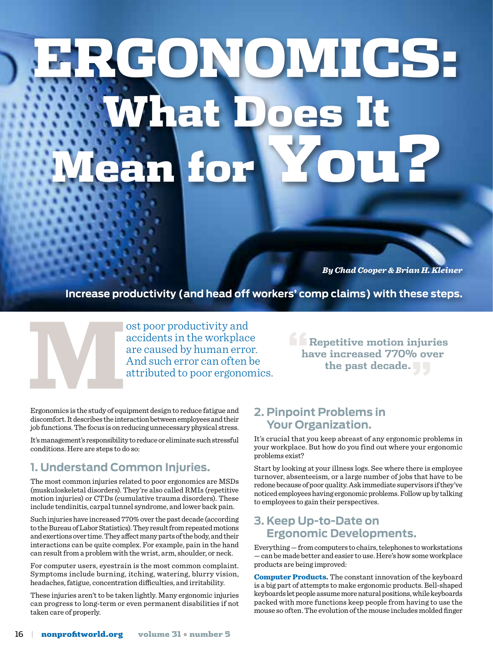# ERGONOMICS: **What M**er

*By Chad Cooper & Brian H. Kleiner*

**Increase productivity (and head off workers' comp claims) with these steps.**

ost poor productivity and<br>accidents in the workplac<br>are caused by human erro<br>And such error can often l<br>attributed to poor ergonor<br>Ergonomics is the study of equipment design to reduce fatigue and accidents in the workplace are caused by human error. And such error can often be attributed to poor ergonomics.

**"Repetitive motion injuries have increased 770% over the past decade."**

Ergonomics is the study of equipment design to reduce fatigue and discomfort. It describes the interaction between employees and their job functions. The focus is on reducing unnecessary physical stress.

It's management's responsibility to reduce or eliminate such stressful conditions. Here are steps to do so:

#### **1. Understand Common Injuries.**

The most common injuries related to poor ergonomics are MSDs (muskuloskeletal disorders). They're also called RMIs (repetitive motion injuries) or CTDs (cumulative trauma disorders). These include tendinitis, carpal tunnel syndrome, and lower back pain.

Such injuries have increased 770% over the past decade (according to the Bureau of Labor Statistics). They result from repeated motions and exertions over time. They affect many parts of the body, and their interactions can be quite complex. For example, pain in the hand can result from a problem with the wrist, arm, shoulder, or neck.

For computer users, eyestrain is the most common complaint. Symptoms include burning, itching, watering, blurry vision, headaches, fatigue, concentration difficulties, and irritability.

These injuries aren't to be taken lightly. Many ergonomic injuries can progress to long-term or even permanent disabilities if not taken care of properly.

## **2. Pinpoint Problems in Your Organization.**

It's crucial that you keep abreast of any ergonomic problems in your workplace. But how do you find out where your ergonomic problems exist?

Start by looking at your illness logs. See where there is employee turnover, absenteeism, or a large number of jobs that have to be redone because of poor quality. Ask immediate supervisors if they've noticed employees having ergonomic problems. Follow up by talking to employees to gain their perspectives.

### **3. Keep Up-to-Date on Ergonomic Developments.**

Everything — from computers to chairs, telephones to workstations — can be made better and easier to use. Here's how some workplace products are being improved:

Computer Products. The constant innovation of the keyboard is a big part of attempts to make ergonomic products. Bell-shaped keyboards let people assume more natural positions, while keyboards packed with more functions keep people from having to use the mouse so often. The evolution of the mouse includes molded finger